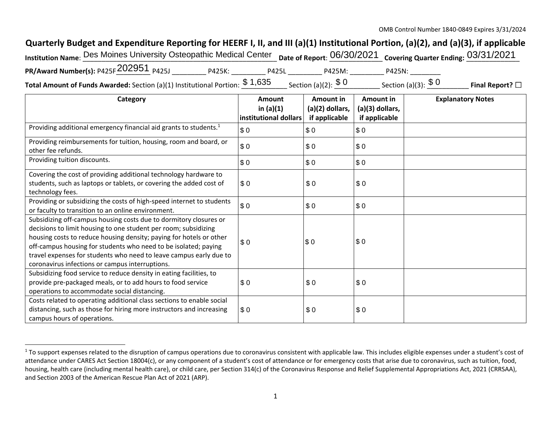## **Quarterly Budget and Expenditure Reporting for HEERF I, II, and III (a)(1) Institutional Portion, (a)(2), and (a)(3), if applicable**

| Institution Name: Des Moines University Osteopathic Medical Center pate of Report: 06/30/2021 covering Quarter Ending: 03/31/2021 |        |                        |        |  |
|-----------------------------------------------------------------------------------------------------------------------------------|--------|------------------------|--------|--|
| PR/Award Number(s): P425F 202951 P425J                                                                                            | P425K: | <b>P425L</b><br>P425M: | P425N: |  |
|                                                                                                                                   | 0.400E |                        |        |  |

**Total Amount of Funds Awarded:** Section (a)(1) Institutional Portion:  $\frac{\$~1,635}{\$~0}$  \_section (a)(2):  $\frac{\$~0}{\$~0}$  \_\_\_\_\_\_\_\_\_ Section (a)(3):  $\frac{\$~0}{\$~0}$  \_\_\_\_\_\_\_ **Final Report?**  $\Box$ 

| Category                                                                                                                                                                                                                                                                                                                                                                                                | <b>Amount</b>                        | Amount in                        | Amount in                        | <b>Explanatory Notes</b> |
|---------------------------------------------------------------------------------------------------------------------------------------------------------------------------------------------------------------------------------------------------------------------------------------------------------------------------------------------------------------------------------------------------------|--------------------------------------|----------------------------------|----------------------------------|--------------------------|
|                                                                                                                                                                                                                                                                                                                                                                                                         | in $(a)(1)$<br>institutional dollars | (a)(2) dollars,<br>if applicable | (a)(3) dollars,<br>if applicable |                          |
| Providing additional emergency financial aid grants to students. <sup>1</sup>                                                                                                                                                                                                                                                                                                                           | \$0                                  | \$0                              | \$0                              |                          |
| Providing reimbursements for tuition, housing, room and board, or<br>other fee refunds.                                                                                                                                                                                                                                                                                                                 | \$0                                  | \$0                              | \$0                              |                          |
| Providing tuition discounts.                                                                                                                                                                                                                                                                                                                                                                            | \$0                                  | \$0                              | \$0                              |                          |
| Covering the cost of providing additional technology hardware to<br>students, such as laptops or tablets, or covering the added cost of<br>technology fees.                                                                                                                                                                                                                                             | \$0                                  | \$0                              | \$0                              |                          |
| Providing or subsidizing the costs of high-speed internet to students<br>or faculty to transition to an online environment.                                                                                                                                                                                                                                                                             | \$0                                  | \$0                              | \$0                              |                          |
| Subsidizing off-campus housing costs due to dormitory closures or<br>decisions to limit housing to one student per room; subsidizing<br>housing costs to reduce housing density; paying for hotels or other<br>off-campus housing for students who need to be isolated; paying<br>travel expenses for students who need to leave campus early due to<br>coronavirus infections or campus interruptions. | \$0                                  | \$0                              | \$0                              |                          |
| Subsidizing food service to reduce density in eating facilities, to<br>provide pre-packaged meals, or to add hours to food service<br>operations to accommodate social distancing.                                                                                                                                                                                                                      | \$0                                  | \$0                              | \$0                              |                          |
| Costs related to operating additional class sections to enable social<br>distancing, such as those for hiring more instructors and increasing<br>campus hours of operations.                                                                                                                                                                                                                            | \$0                                  | \$0                              | \$0                              |                          |

<sup>&</sup>lt;sup>1</sup> To support expenses related to the disruption of campus operations due to coronavirus consistent with applicable law. This includes eligible expenses under a student's cost of attendance under CARES Act Section 18004(c), or any component of a student's cost of attendance or for emergency costs that arise due to coronavirus, such as tuition, food, housing, health care (including mental health care), or child care, per Section 314(c) of the Coronavirus Response and Relief Supplemental Appropriations Act, 2021 (CRRSAA), and Section 2003 of the American Rescue Plan Act of 2021 (ARP).